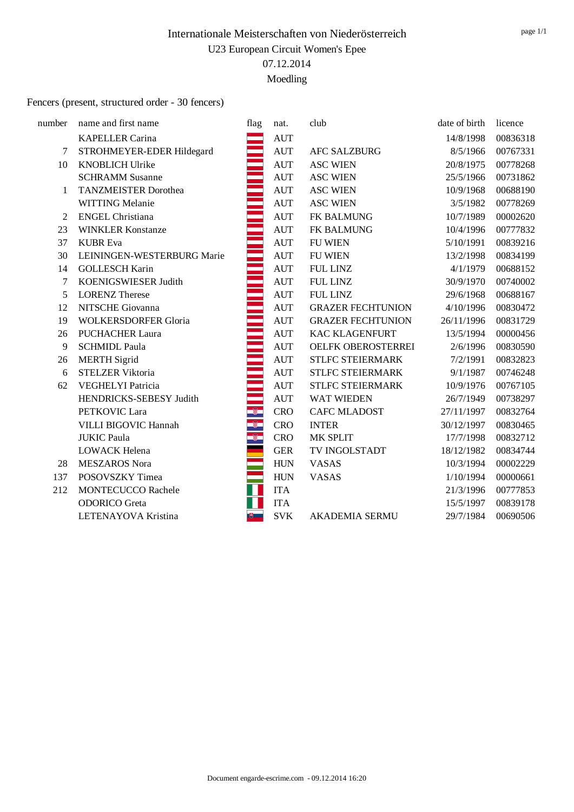Moedling

#### Fencers (present, structured order - 30 fencers)

| number         | name and first name         | flag          | nat.               | club                     | date of birth | licence  |
|----------------|-----------------------------|---------------|--------------------|--------------------------|---------------|----------|
|                | <b>KAPELLER Carina</b>      |               | <b>AUT</b>         |                          | 14/8/1998     | 00836318 |
| 7              | STROHMEYER-EDER Hildegard   |               | <b>AUT</b>         | <b>AFC SALZBURG</b>      | 8/5/1966      | 00767331 |
| 10             | <b>KNOBLICH Ulrike</b>      |               | <b>AUT</b>         | <b>ASC WIEN</b>          | 20/8/1975     | 00778268 |
|                | <b>SCHRAMM Susanne</b>      |               | <b>AUT</b>         | <b>ASC WIEN</b>          | 25/5/1966     | 00731862 |
| 1              | <b>TANZMEISTER Dorothea</b> |               | <b>AUT</b>         | <b>ASC WIEN</b>          | 10/9/1968     | 00688190 |
|                | WITTING Melanie             |               | <b>AUT</b>         | <b>ASC WIEN</b>          | 3/5/1982      | 00778269 |
| $\overline{2}$ | <b>ENGEL Christiana</b>     |               | <b>AUT</b>         | FK BALMUNG               | 10/7/1989     | 00002620 |
| 23             | <b>WINKLER Konstanze</b>    |               | <b>AUT</b>         | FK BALMUNG               | 10/4/1996     | 00777832 |
| 37             | <b>KUBR</b> Eva             |               | <b>AUT</b>         | <b>FU WIEN</b>           | 5/10/1991     | 00839216 |
| 30             | LEININGEN-WESTERBURG Marie  |               | <b>AUT</b>         | <b>FU WIEN</b>           | 13/2/1998     | 00834199 |
| 14             | <b>GOLLESCH Karin</b>       |               | $\mathop{\rm AUT}$ | <b>FUL LINZ</b>          | 4/1/1979      | 00688152 |
| $\tau$         | KOENIGSWIESER Judith        |               | <b>AUT</b>         | <b>FUL LINZ</b>          | 30/9/1970     | 00740002 |
| 5              | <b>LORENZ Therese</b>       |               | <b>AUT</b>         | <b>FUL LINZ</b>          | 29/6/1968     | 00688167 |
| 12             | NITSCHE Giovanna            |               | $\mathop{\rm AUT}$ | <b>GRAZER FECHTUNION</b> | 4/10/1996     | 00830472 |
| 19             | <b>WOLKERSDORFER Gloria</b> |               | <b>AUT</b>         | <b>GRAZER FECHTUNION</b> | 26/11/1996    | 00831729 |
| 26             | <b>PUCHACHER Laura</b>      |               | <b>AUT</b>         | <b>KAC KLAGENFURT</b>    | 13/5/1994     | 00000456 |
| 9              | <b>SCHMIDL Paula</b>        |               | <b>AUT</b>         | OELFK OBEROSTERREI       | 2/6/1996      | 00830590 |
| 26             | <b>MERTH Sigrid</b>         |               | <b>AUT</b>         | <b>STLFC STEIERMARK</b>  | 7/2/1991      | 00832823 |
| 6              | <b>STELZER Viktoria</b>     |               | <b>AUT</b>         | STLFC STEIERMARK         | 9/1/1987      | 00746248 |
| 62             | <b>VEGHELYI Patricia</b>    |               | <b>AUT</b>         | <b>STLFC STEIERMARK</b>  | 10/9/1976     | 00767105 |
|                | HENDRICKS-SEBESY Judith     |               | <b>AUT</b>         | WAT WIEDEN               | 26/7/1949     | 00738297 |
|                | PETKOVIC Lara               | $\mathcal{R}$ | <b>CRO</b>         | <b>CAFC MLADOST</b>      | 27/11/1997    | 00832764 |
|                | VILLI BIGOVIC Hannah        | $^{\circ}$    | <b>CRO</b>         | <b>INTER</b>             | 30/12/1997    | 00830465 |
|                | <b>JUKIC Paula</b>          | $^{\circ}$    | <b>CRO</b>         | MK SPLIT                 | 17/7/1998     | 00832712 |
|                | <b>LOWACK Helena</b>        |               | <b>GER</b>         | TV INGOLSTADT            | 18/12/1982    | 00834744 |
| 28             | <b>MESZAROS Nora</b>        |               | <b>HUN</b>         | <b>VASAS</b>             | 10/3/1994     | 00002229 |
| 137            | POSOVSZKY Timea             |               | <b>HUN</b>         | <b>VASAS</b>             | 1/10/1994     | 00000661 |
| 212            | <b>MONTECUCCO Rachele</b>   |               | <b>ITA</b>         |                          | 21/3/1996     | 00777853 |
|                | <b>ODORICO</b> Greta        |               | <b>ITA</b>         |                          | 15/5/1997     | 00839178 |
|                | LETENAYOVA Kristina         |               | <b>SVK</b>         | AKADEMIA SERMU           | 29/7/1984     | 00690506 |
|                |                             |               |                    |                          |               |          |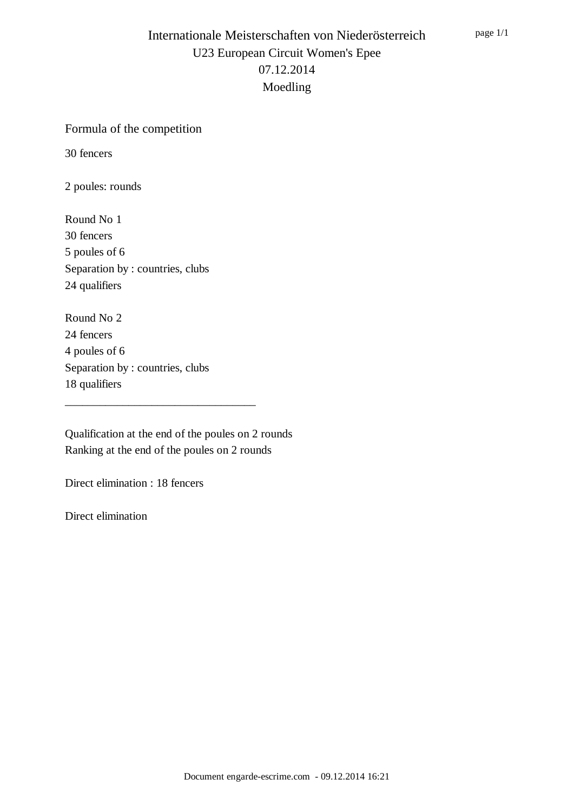#### Formula of the competition

30 fencers

2 poules: rounds

Round No 1 30 fencers 5 poules of 6 Separation by : countries, clubs 24 qualifiers

Round No 2 24 fencers 4 poules of 6 Separation by : countries, clubs 18 qualifiers

Qualification at the end of the poules on 2 rounds Ranking at the end of the poules on 2 rounds

\_\_\_\_\_\_\_\_\_\_\_\_\_\_\_\_\_\_\_\_\_\_\_\_\_\_\_\_\_\_\_\_\_

Direct elimination : 18 fencers

Direct elimination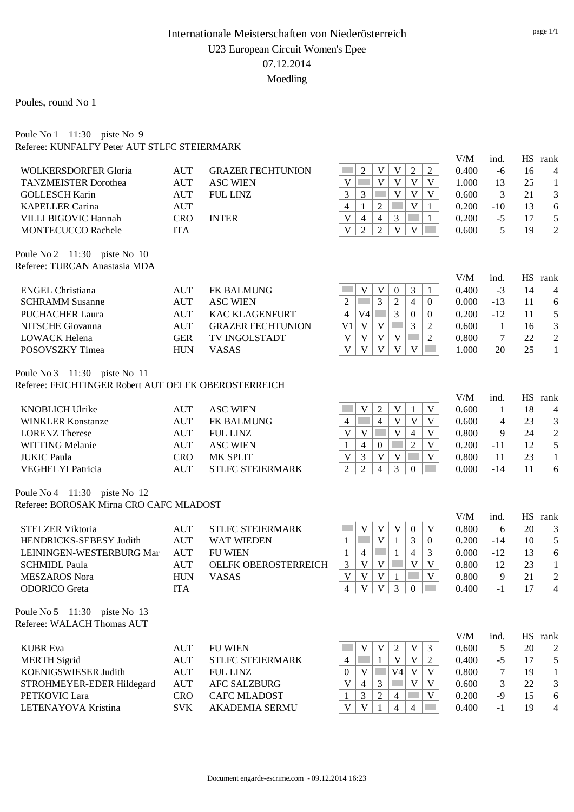Poules, round No 1

Poule No 1 11:30 piste No 9 Referee: KUNFALFY Peter AUT STLFC STEIERMARK

|                                                      |                          |                                     |                                                                                               | V/M            | ind.         |          | HS rank                   |
|------------------------------------------------------|--------------------------|-------------------------------------|-----------------------------------------------------------------------------------------------|----------------|--------------|----------|---------------------------|
| <b>WOLKERSDORFER Gloria</b>                          | <b>AUT</b>               | <b>GRAZER FECHTUNION</b>            | $\overline{2}$<br>$\overline{2}$<br>$\overline{2}$<br>V<br>V                                  | 0.400          | $-6$         | 16       | 4                         |
| <b>TANZMEISTER Dorothea</b>                          | <b>AUT</b>               | <b>ASC WIEN</b>                     | $\mathbf{V}$<br>V<br>V<br>V<br>V                                                              | 1.000          | 13           | 25       | $\mathbf{1}$              |
| <b>GOLLESCH Karin</b>                                | <b>AUT</b>               | <b>FUL LINZ</b>                     | 3<br>$\mathbf{V}$<br>$\mathbf{V}$<br>$\mathbf{V}$<br>3                                        | 0.600          | 3            | 21       | 3                         |
| <b>KAPELLER Carina</b>                               | <b>AUT</b>               |                                     | $\mathbf{V}$<br>$\overline{4}$<br>$\overline{2}$<br>1<br>$\mathbf{1}$                         | 0.200          | $-10$        | 13       | 6                         |
| VILLI BIGOVIC Hannah                                 | <b>CRO</b>               | <b>INTER</b>                        | $\mathbf{V}$<br>$\overline{4}$<br>$\overline{4}$<br>3<br>$\mathbf{1}$                         | 0.200          | $-5$         | 17       | 5                         |
| <b>MONTECUCCO Rachele</b>                            | <b>ITA</b>               |                                     | $\overline{\mathsf{V}}$<br>$\overline{2}$<br>$\overline{2}$<br>$\mathbf{V}$<br>$\mathbf V$    | 0.600          | 5            | 19       | $\overline{2}$            |
| Poule No 2 11:30 piste No 10                         |                          |                                     |                                                                                               |                |              |          |                           |
| Referee: TURCAN Anastasia MDA                        |                          |                                     |                                                                                               | V/M            | ind.         |          | HS rank                   |
| <b>ENGEL Christiana</b>                              | <b>AUT</b>               | <b>FK BALMUNG</b>                   | V<br>V<br>3<br>$\mathbf{0}$<br>1                                                              | 0.400          | $-3$         | 14       | 4                         |
| <b>SCHRAMM Susanne</b>                               | <b>AUT</b>               | <b>ASC WIEN</b>                     | 3<br>$\overline{2}$<br>$\mathfrak{2}$<br>$\overline{4}$<br>$\overline{0}$                     | 0.000          | $-13$        | 11       | 6                         |
| <b>PUCHACHER Laura</b>                               | <b>AUT</b>               | <b>KAC KLAGENFURT</b>               | $\overline{3}$<br>$\overline{4}$<br>V4<br>$\boldsymbol{0}$<br>$\mathbf{0}$                    | 0.200          | $-12$        | 11       | $\sqrt{5}$                |
| NITSCHE Giovanna                                     | <b>AUT</b>               | <b>GRAZER FECHTUNION</b>            | $\mathbf V$<br>$\mathfrak{Z}$<br>$\overline{c}$<br>V <sub>1</sub><br>$\mathbf V$              | 0.600          | $\mathbf{1}$ | 16       | $\mathfrak{Z}$            |
| <b>LOWACK Helena</b>                                 | <b>GER</b>               | TV INGOLSTADT                       | $\overline{2}$<br>V<br>V<br>$\mathbf V$<br>V                                                  | 0.800          | 7            | 22       | $\sqrt{2}$                |
| POSOVSZKY Timea                                      | <b>HUN</b>               | <b>VASAS</b>                        | $\overline{\mathbf{V}}$<br>$\overline{V}$<br>V<br>$\mathbf V$<br>V                            | 1.000          | 20           | 25       | $\mathbf{1}$              |
| Poule No 3 11:30 piste No 11                         |                          |                                     |                                                                                               |                |              |          |                           |
| Referee: FEICHTINGER Robert AUT OELFK OBEROSTERREICH |                          |                                     |                                                                                               |                |              |          |                           |
| <b>KNOBLICH Ulrike</b>                               | <b>AUT</b>               | <b>ASC WIEN</b>                     | V<br>$\overline{2}$<br>$\mathbf V$<br>$\mathbf V$                                             | V/M<br>0.600   | ind.         | 18       | HS rank                   |
| <b>WINKLER Konstanze</b>                             | <b>AUT</b>               | FK BALMUNG                          | $\mathbf{1}$<br>$\overline{4}$<br>$\mathbf V$<br>$\mathbf V$<br>$\mathbf V$<br>$\overline{4}$ | 0.600          | $\mathbf{1}$ | 23       | 4                         |
| <b>LORENZ</b> Therese                                |                          | <b>FUL LINZ</b>                     | $\mathbf{V}$<br>$\mathbf V$<br>$\mathbf V$<br>V<br>$\overline{4}$                             | 0.800          | 4<br>9       | 24       | 3<br>$\sqrt{2}$           |
|                                                      | <b>AUT</b>               |                                     | $\mathbf V$<br>$\overline{4}$                                                                 |                |              |          | 5                         |
| <b>WITTING Melanie</b>                               | <b>AUT</b>               | <b>ASC WIEN</b>                     | $\overline{2}$<br>1<br>$\mathbf{0}$<br>$\mathbf V$<br>$\mathbf{V}$<br>$\mathbf V$             | 0.200          | $-11$<br>11  | 12<br>23 |                           |
| <b>JUKIC Paula</b><br>VEGHELYI Patricia              | <b>CRO</b><br><b>AUT</b> | MK SPLIT<br><b>STLFC STEIERMARK</b> | V<br>3<br>$\overline{4}$<br>$\overline{2}$<br>3<br>$\overline{2}$<br>$\mathbf{0}$             | 0.800<br>0.000 | $-14$        | 11       | $\mathbf{1}$<br>6         |
|                                                      |                          |                                     |                                                                                               |                |              |          |                           |
| Poule No 4 11:30 piste No 12                         |                          |                                     |                                                                                               |                |              |          |                           |
| Referee: BOROSAK Mirna CRO CAFC MLADOST              |                          |                                     |                                                                                               | V/M            | ind.         |          | HS rank                   |
| <b>STELZER Viktoria</b>                              | <b>AUT</b>               | <b>STLFC STEIERMARK</b>             | V<br>V<br>$\boldsymbol{0}$<br>$\mathbf V$<br>V                                                | 0.800          | 6            | 20       | 3                         |
| HENDRICKS-SEBESY Judith                              | <b>AUT</b>               | <b>WAT WIEDEN</b>                   | $\mathbf V$<br>3<br>$\mathbf{1}$<br>1<br>$\overline{0}$                                       | 0.200          | $-14$        | 10       | $\sqrt{5}$                |
| LEININGEN-WESTERBURG Mar                             | <b>AUT</b>               | <b>FU WIEN</b>                      | 3<br>$\mathbf{1}$<br>$\overline{4}$<br>1<br>4                                                 | 0.000          | $-12$        | 13       | 6                         |
| <b>SCHMIDL Paula</b>                                 | <b>AUT</b>               | OELFK OBEROSTERREICH                | $\mathbf{V}$<br>$\overline{\mathsf{V}}$<br>$\mathbf V$<br>3<br>$\mathbf V$                    | 0.800          | 12           | 23       | $\mathbf{1}$              |
| <b>MESZAROS Nora</b>                                 | <b>HUN</b>               | <b>VASAS</b>                        | $\overline{\mathsf{V}}$<br>$\mathbf{V}$<br>$\mathbf{V}$<br>$\mathbf{V}$<br>1                  | 0.800          | 9            | 21       | $\overline{c}$            |
| <b>ODORICO</b> Greta                                 | <b>ITA</b>               |                                     | $V$   $V$   3  <br>$\mathbf{0}$<br>4                                                          | 0.400          | $-1$         | 17       | 4                         |
| Poule No 5 11:30 piste No 13                         |                          |                                     |                                                                                               |                |              |          |                           |
| Referee: WALACH Thomas AUT                           |                          |                                     |                                                                                               |                |              |          |                           |
| <b>KUBR</b> Eva                                      | <b>AUT</b>               | <b>FU WIEN</b>                      | $\mathbf V$<br>2<br>$\mathfrak{Z}$<br>V<br>V                                                  | V/M<br>0.600   | ind.<br>5    | 20       | HS rank<br>$\overline{c}$ |
| <b>MERTH Sigrid</b>                                  | <b>AUT</b>               | <b>STLFC STEIERMARK</b>             | $\mathbf V$<br>$\mathbf V$<br>$\overline{2}$<br>$\overline{4}$<br>1                           | 0.400          | $-5$         | 17       | $\sqrt{5}$                |
| KOENIGSWIESER Judith                                 | <b>AUT</b>               | <b>FUL LINZ</b>                     | V4<br>V<br>V<br>$\mathbf V$<br>$\mathbf{0}$                                                   | 0.800          | 7            | 19       | $\mathbf{1}$              |
| STROHMEYER-EDER Hildegard                            | <b>AUT</b>               | <b>AFC SALZBURG</b>                 | V<br>V<br>$\mathfrak{Z}$<br>V<br>$\overline{4}$                                               | 0.600          | 3            | 22       | $\mathfrak{Z}$            |
| PETKOVIC Lara                                        | <b>CRO</b>               | <b>CAFC MLADOST</b>                 | $\overline{c}$<br>$\overline{\mathbf{3}}$<br>$\overline{4}$<br>V<br>1                         | 0.200          | $-9$         | 15       | 6                         |
| LETENAYOVA Kristina                                  | <b>SVK</b>               | <b>AKADEMIA SERMU</b>               | $\mathbf V$<br>V<br>4<br>4<br>1                                                               | 0.400          | $-1$         | 19       | $\overline{4}$            |
|                                                      |                          |                                     |                                                                                               |                |              |          |                           |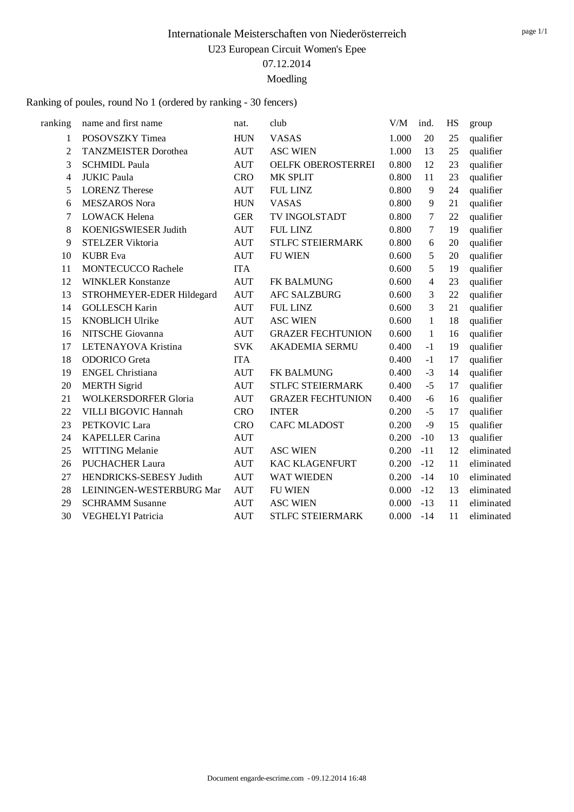Ranking of poules, round No 1 (ordered by ranking - 30 fencers)

| ranking        | name and first name         | nat.       | club                      | V/M   | ind.           | HS | group      |
|----------------|-----------------------------|------------|---------------------------|-------|----------------|----|------------|
| 1              | POSOVSZKY Timea             | <b>HUN</b> | <b>VASAS</b>              | 1.000 | 20             | 25 | qualifier  |
| $\overline{2}$ | <b>TANZMEISTER Dorothea</b> | <b>AUT</b> | <b>ASC WIEN</b>           | 1.000 | 13             | 25 | qualifier  |
| 3              | <b>SCHMIDL Paula</b>        | <b>AUT</b> | <b>OELFK OBEROSTERREI</b> | 0.800 | 12             | 23 | qualifier  |
| 4              | <b>JUKIC Paula</b>          | <b>CRO</b> | MK SPLIT                  | 0.800 | 11             | 23 | qualifier  |
| 5              | <b>LORENZ Therese</b>       | <b>AUT</b> | <b>FUL LINZ</b>           | 0.800 | 9              | 24 | qualifier  |
| 6              | <b>MESZAROS</b> Nora        | <b>HUN</b> | <b>VASAS</b>              | 0.800 | 9              | 21 | qualifier  |
| 7              | <b>LOWACK Helena</b>        | <b>GER</b> | TV INGOLSTADT             | 0.800 | 7              | 22 | qualifier  |
| 8              | KOENIGSWIESER Judith        | <b>AUT</b> | <b>FUL LINZ</b>           | 0.800 | 7              | 19 | qualifier  |
| 9              | <b>STELZER Viktoria</b>     | <b>AUT</b> | <b>STLFC STEIERMARK</b>   | 0.800 | 6              | 20 | qualifier  |
| 10             | <b>KUBR</b> Eva             | <b>AUT</b> | <b>FU WIEN</b>            | 0.600 | 5              | 20 | qualifier  |
| 11             | MONTECUCCO Rachele          | <b>ITA</b> |                           | 0.600 | 5              | 19 | qualifier  |
| 12             | <b>WINKLER Konstanze</b>    | <b>AUT</b> | <b>FK BALMUNG</b>         | 0.600 | $\overline{4}$ | 23 | qualifier  |
| 13             | STROHMEYER-EDER Hildegard   | <b>AUT</b> | <b>AFC SALZBURG</b>       | 0.600 | 3              | 22 | qualifier  |
| 14             | <b>GOLLESCH Karin</b>       | <b>AUT</b> | <b>FUL LINZ</b>           | 0.600 | 3              | 21 | qualifier  |
| 15             | <b>KNOBLICH Ulrike</b>      | <b>AUT</b> | <b>ASC WIEN</b>           | 0.600 | 1              | 18 | qualifier  |
| 16             | NITSCHE Giovanna            | <b>AUT</b> | <b>GRAZER FECHTUNION</b>  | 0.600 | 1              | 16 | qualifier  |
| 17             | LETENAYOVA Kristina         | <b>SVK</b> | <b>AKADEMIA SERMU</b>     | 0.400 | $-1$           | 19 | qualifier  |
| 18             | <b>ODORICO</b> Greta        | <b>ITA</b> |                           | 0.400 | $-1$           | 17 | qualifier  |
| 19             | <b>ENGEL Christiana</b>     | <b>AUT</b> | <b>FK BALMUNG</b>         | 0.400 | $-3$           | 14 | qualifier  |
| 20             | <b>MERTH Sigrid</b>         | <b>AUT</b> | <b>STLFC STEIERMARK</b>   | 0.400 | $-5$           | 17 | qualifier  |
| 21             | <b>WOLKERSDORFER Gloria</b> | <b>AUT</b> | <b>GRAZER FECHTUNION</b>  | 0.400 | $-6$           | 16 | qualifier  |
| 22             | VILLI BIGOVIC Hannah        | <b>CRO</b> | <b>INTER</b>              | 0.200 | $-5$           | 17 | qualifier  |
| 23             | PETKOVIC Lara               | <b>CRO</b> | <b>CAFC MLADOST</b>       | 0.200 | $-9$           | 15 | qualifier  |
| 24             | <b>KAPELLER Carina</b>      | <b>AUT</b> |                           | 0.200 | $-10$          | 13 | qualifier  |
| 25             | WITTING Melanie             | <b>AUT</b> | <b>ASC WIEN</b>           | 0.200 | $-11$          | 12 | eliminated |
| 26             | <b>PUCHACHER Laura</b>      | <b>AUT</b> | <b>KAC KLAGENFURT</b>     | 0.200 | $-12$          | 11 | eliminated |
| 27             | HENDRICKS-SEBESY Judith     | <b>AUT</b> | <b>WAT WIEDEN</b>         | 0.200 | $-14$          | 10 | eliminated |
| 28             | LEININGEN-WESTERBURG Mar    | <b>AUT</b> | <b>FU WIEN</b>            | 0.000 | $-12$          | 13 | eliminated |
| 29             | <b>SCHRAMM Susanne</b>      | <b>AUT</b> | <b>ASC WIEN</b>           | 0.000 | $-13$          | 11 | eliminated |
| 30             | <b>VEGHELYI Patricia</b>    | <b>AUT</b> | <b>STLFC STEIERMARK</b>   | 0.000 | $-14$          | 11 | eliminated |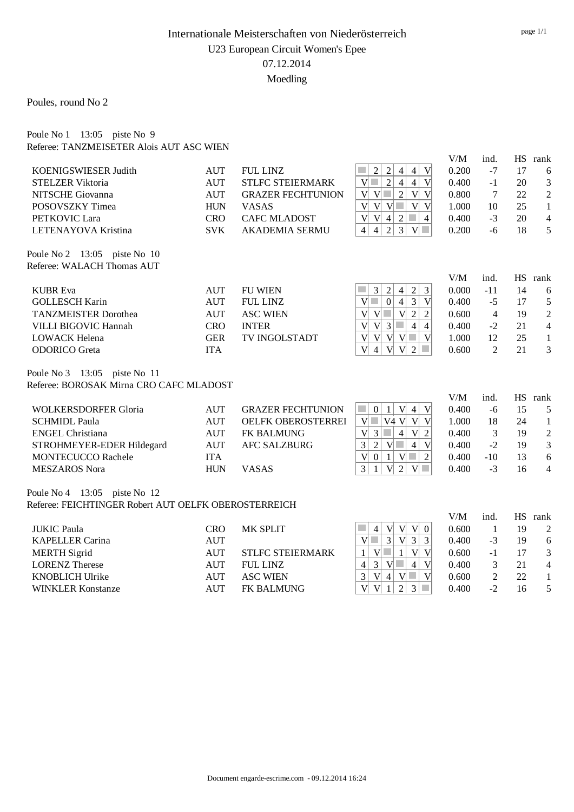Poules, round No 2

| Poule No $1 \quad 13:05$ piste No 9 |                                          |  |
|-------------------------------------|------------------------------------------|--|
|                                     | Referee: TANZMEISETER Alois AUT ASC WIEN |  |

|                                                      |            |                           |                                                                                                                    | V/M          | ind.            | HS | rank           |
|------------------------------------------------------|------------|---------------------------|--------------------------------------------------------------------------------------------------------------------|--------------|-----------------|----|----------------|
| KOENIGSWIESER Judith                                 | <b>AUT</b> | <b>FUL LINZ</b>           | V<br>$\sqrt{2}$<br>$\overline{c}$<br>$\vert 4 \vert$<br>$\overline{4}$                                             | 0.200        | $-7$            | 17 | 6              |
| <b>STELZER Viktoria</b>                              | <b>AUT</b> | <b>STLFC STEIERMARK</b>   | $\overline{2}$<br>$\overline{4}$<br> V <br>$\vert 4 \vert$<br>V                                                    | 0.400        | $-1$            | 20 | 3              |
| NITSCHE Giovanna                                     | <b>AUT</b> | <b>GRAZER FECHTUNION</b>  | $\sqrt{2}$<br>V<br>V<br>V<br>V                                                                                     | 0.800        | $7\phantom{.0}$ | 22 | $\overline{2}$ |
| POSOVSZKY Timea                                      | <b>HUN</b> | <b>VASAS</b>              | $V$ $V$ $\Box$<br>$V$ V<br>V                                                                                       | 1.000        | 10              | 25 | $\mathbf{1}$   |
| PETKOVIC Lara                                        | <b>CRO</b> | <b>CAFC MLADOST</b>       | V<br>$\overline{2}$<br>V<br>$\overline{4}$<br>$\sim$<br>$\overline{4}$                                             | 0.400        | $-3$            | 20 | $\overline{4}$ |
| LETENAYOVA Kristina                                  | <b>SVK</b> | <b>AKADEMIA SERMU</b>     | $\overline{3}$<br>2<br>$V$ $\Box$<br>$\overline{4}$<br>4                                                           | 0.200        | $-6$            | 18 | 5              |
| Poule No 2 13:05 piste No 10                         |            |                           |                                                                                                                    |              |                 |    |                |
| Referee: WALACH Thomas AUT                           |            |                           |                                                                                                                    |              |                 |    |                |
| <b>KUBR</b> Eva                                      | <b>AUT</b> | <b>FU WIEN</b>            | $\sqrt{2}$<br>3<br>3<br>$\overline{2}$<br>$\overline{4}$                                                           | V/M<br>0.000 | ind.<br>$-11$   | 14 | HS rank<br>6   |
| <b>GOLLESCH Karin</b>                                | <b>AUT</b> | <b>FUL LINZ</b>           | 3<br>$\mathbf{0}$<br>$\overline{4}$<br>V<br>$V$ $\Box$                                                             | 0.400        | $-5$            | 17 | 5              |
| <b>TANZMEISTER Dorothea</b>                          | <b>AUT</b> | <b>ASC WIEN</b>           | V<br>V<br>$\overline{2}$<br>$\overline{2}$<br>V                                                                    | 0.600        | $\overline{4}$  | 19 | $\overline{c}$ |
| VILLI BIGOVIC Hannah                                 | <b>CRO</b> | <b>INTER</b>              | V<br>$\vert 4 \vert$<br>V<br>3<br>$\sim$<br>$\overline{4}$                                                         | 0.400        | $-2$            | 21 | $\overline{4}$ |
| <b>LOWACK Helena</b>                                 | <b>GER</b> | TV INGOLSTADT             | V<br>$\mathcal{L}^{\mathcal{A}}$<br>V<br> V <br> V <br>V                                                           | 1.000        | 12              | 25 | $\mathbf{1}$   |
| <b>ODORICO</b> Greta                                 | <b>ITA</b> |                           | $\mathbf{V}$<br>V<br>2<br>$\overline{4}$<br>V                                                                      | 0.600        | 2               | 21 | 3              |
| Poule No 3 13:05 piste No 11                         |            |                           |                                                                                                                    |              |                 |    |                |
| Referee: BOROSAK Mirna CRO CAFC MLADOST              |            |                           |                                                                                                                    |              |                 |    |                |
|                                                      |            |                           |                                                                                                                    | V/M          | ind.            |    | HS rank        |
| <b>WOLKERSDORFER Gloria</b>                          | <b>AUT</b> | <b>GRAZER FECHTUNION</b>  | $\mathcal{L}_{\mathcal{A}}$<br>V<br> 0 <br> V <br>$\vert 4 \vert$<br> 1                                            | 0.400        | $-6$            | 15 | 5              |
| <b>SCHMIDL Paula</b>                                 | <b>AUT</b> | <b>OELFK OBEROSTERREI</b> | V<br>V4 V<br>V<br>V                                                                                                | 1.000        | 18              | 24 | $\mathbf{1}$   |
| <b>ENGEL Christiana</b>                              | <b>AUT</b> | FK BALMUNG                | V<br>$\mathfrak{Z}$<br>$\mathcal{C}^{\mathcal{A}}$<br>$\overline{4}$<br> V <br>$\overline{2}$                      | 0.400        | $\mathfrak{Z}$  | 19 | $\overline{c}$ |
| STROHMEYER-EDER Hildegard                            | <b>AUT</b> | <b>AFC SALZBURG</b>       | 3<br>$\overline{2}$<br>$\vert 4 \vert$<br>V<br> V <br>a s                                                          | 0.400        | $-2$            | 19 | 3              |
| <b>MONTECUCCO Rachele</b>                            | <b>ITA</b> |                           | V<br>$\overline{2}$<br> 0 <br>V<br>$\mathcal{L}^{\mathcal{L}}$<br>$\mathbf{1}$                                     | 0.400        | $-10$           | 13 | 6              |
| <b>MESZAROS Nora</b>                                 | <b>HUN</b> | <b>VASAS</b>              | 3<br>$\overline{2}$<br>V<br>$\mathbf{1}$<br>V                                                                      | 0.400        | $-3$            | 16 | $\overline{4}$ |
| Poule No 4 13:05 piste No 12                         |            |                           |                                                                                                                    |              |                 |    |                |
| Referee: FEICHTINGER Robert AUT OELFK OBEROSTERREICH |            |                           |                                                                                                                    |              |                 |    |                |
|                                                      |            |                           |                                                                                                                    | V/M          | ind.            |    | HS rank        |
| <b>JUKIC Paula</b>                                   | <b>CRO</b> | MK SPLIT                  | V<br>V V 0<br>×.<br>4                                                                                              | 0.600        | $\mathbf{1}$    | 19 | $\overline{2}$ |
| <b>KAPELLER Carina</b>                               | <b>AUT</b> |                           | $\overline{3}$<br>$\overline{V}$<br>$\vert 3 \vert$<br>$\overline{3}$<br>V                                         | 0.400        | $-3$            | 19 | 6              |
| <b>MERTH Sigrid</b>                                  | <b>AUT</b> | STLFC STEIERMARK          | V<br>$\mathbf{1}$<br>$\mathbf V$<br>$\mathbf{1}$<br> V                                                             | 0.600        | $-1$            | 17 | 3              |
| <b>LORENZ Therese</b>                                | <b>AUT</b> | <b>FUL LINZ</b>           | $\mathcal{L}_{\mathcal{A}}$<br>$\vert 4 \vert$<br>V<br>3 <br> V <br>$\overline{4}$                                 | 0.400        | $\mathfrak{Z}$  | 21 | $\overline{4}$ |
| <b>KNOBLICH Ulrike</b>                               | <b>AUT</b> | <b>ASC WIEN</b>           | V<br>$\overline{V}$<br>3<br> V <br>$\mathcal{L}^{\mathcal{L}}$<br>$\overline{4}$                                   | 0.600        | $\sqrt{2}$      | 22 | $\mathbf{1}$   |
| <b>WINKLER Konstanze</b>                             | <b>AUT</b> | <b>FK BALMUNG</b>         | $\mathbf{V}$<br>$\overline{2}$<br>$\overline{V}$<br>$\vert 3 \vert$<br>$\mathcal{L}_{\mathcal{A}}$<br>$\mathbf{1}$ | 0.400        | $-2$            | 16 | 5              |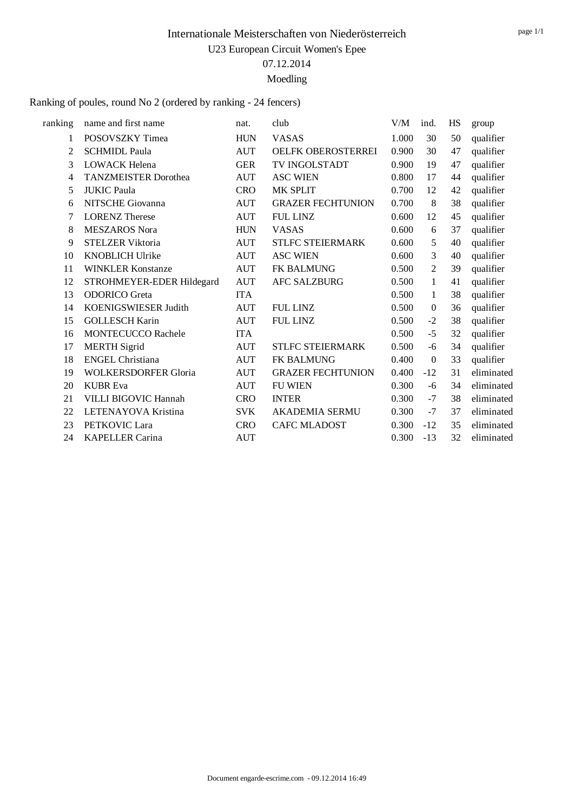Ranking of poules, round No 2 (ordered by ranking - 24 fencers)

| ranking | name and first name         | nat.       | club                      | V/M   | ind.             | HS | group      |
|---------|-----------------------------|------------|---------------------------|-------|------------------|----|------------|
| 1       | POSOVSZKY Timea             | <b>HUN</b> | <b>VASAS</b>              | 1.000 | 30               | 50 | qualifier  |
| 2       | <b>SCHMIDL Paula</b>        | <b>AUT</b> | <b>OELFK OBEROSTERREI</b> | 0.900 | 30               | 47 | qualifier  |
| 3       | <b>LOWACK Helena</b>        | <b>GER</b> | <b>TV INGOLSTADT</b>      | 0.900 | 19               | 47 | qualifier  |
| 4       | <b>TANZMEISTER Dorothea</b> | <b>AUT</b> | <b>ASC WIEN</b>           | 0.800 | 17               | 44 | qualifier  |
| 5       | <b>JUKIC Paula</b>          | <b>CRO</b> | <b>MK SPLIT</b>           | 0.700 | 12               | 42 | qualifier  |
| 6       | NITSCHE Giovanna            | <b>AUT</b> | <b>GRAZER FECHTUNION</b>  | 0.700 | 8                | 38 | qualifier  |
| 7       | <b>LORENZ Therese</b>       | <b>AUT</b> | <b>FUL LINZ</b>           | 0.600 | 12               | 45 | qualifier  |
| 8       | <b>MESZAROS</b> Nora        | <b>HUN</b> | <b>VASAS</b>              | 0.600 | 6                | 37 | qualifier  |
| 9       | <b>STELZER Viktoria</b>     | <b>AUT</b> | <b>STLFC STEIERMARK</b>   | 0.600 | 5                | 40 | qualifier  |
| 10      | <b>KNOBLICH Ulrike</b>      | <b>AUT</b> | <b>ASC WIEN</b>           | 0.600 | 3                | 40 | qualifier  |
| 11      | <b>WINKLER Konstanze</b>    | <b>AUT</b> | <b>FK BALMUNG</b>         | 0.500 | $\overline{2}$   | 39 | qualifier  |
| 12      | STROHMEYER-EDER Hildegard   | <b>AUT</b> | <b>AFC SALZBURG</b>       | 0.500 | $\mathbf{1}$     | 41 | qualifier  |
| 13      | <b>ODORICO</b> Greta        | <b>ITA</b> |                           | 0.500 | $\mathbf{1}$     | 38 | qualifier  |
| 14      | KOENIGSWIESER Judith        | <b>AUT</b> | <b>FUL LINZ</b>           | 0.500 | $\mathbf{0}$     | 36 | qualifier  |
| 15      | <b>GOLLESCH Karin</b>       | <b>AUT</b> | <b>FUL LINZ</b>           | 0.500 | $-2$             | 38 | qualifier  |
| 16      | MONTECUCCO Rachele          | <b>ITA</b> |                           | 0.500 | $-5$             | 32 | qualifier  |
| 17      | <b>MERTH Sigrid</b>         | <b>AUT</b> | <b>STLFC STEIERMARK</b>   | 0.500 | -6               | 34 | qualifier  |
| 18      | <b>ENGEL Christiana</b>     | <b>AUT</b> | FK BALMUNG                | 0.400 | $\boldsymbol{0}$ | 33 | qualifier  |
| 19      | <b>WOLKERSDORFER Gloria</b> | <b>AUT</b> | <b>GRAZER FECHTUNION</b>  | 0.400 | $-12$            | 31 | eliminated |
| 20      | <b>KUBR</b> Eva             | <b>AUT</b> | <b>FU WIEN</b>            | 0.300 | -6               | 34 | eliminated |
| 21      | VILLI BIGOVIC Hannah        | <b>CRO</b> | <b>INTER</b>              | 0.300 | $-7$             | 38 | eliminated |
| 22      | LETENAYOVA Kristina         | <b>SVK</b> | <b>AKADEMIA SERMU</b>     | 0.300 | $-7$             | 37 | eliminated |
| 23      | PETKOVIC Lara               | <b>CRO</b> | <b>CAFC MLADOST</b>       | 0.300 | $-12$            | 35 | eliminated |
| 24      | <b>KAPELLER Carina</b>      | <b>AUT</b> |                           | 0.300 | $-13$            | 32 | eliminated |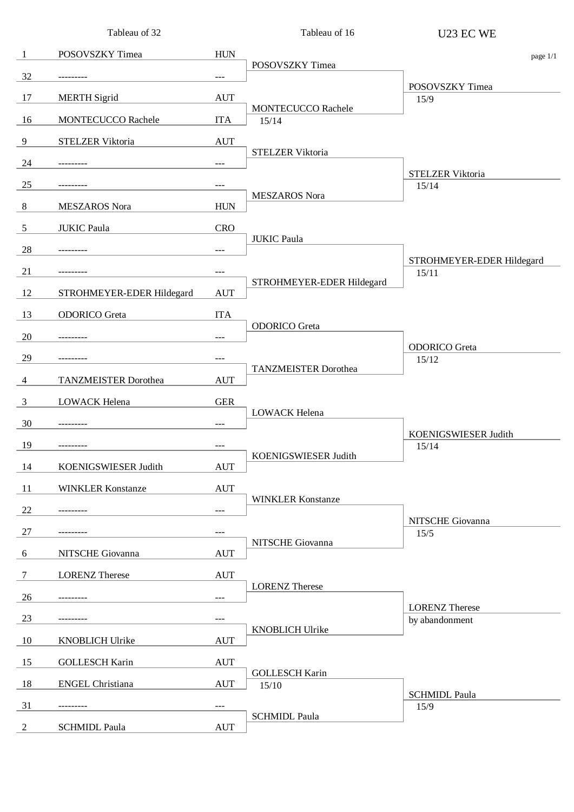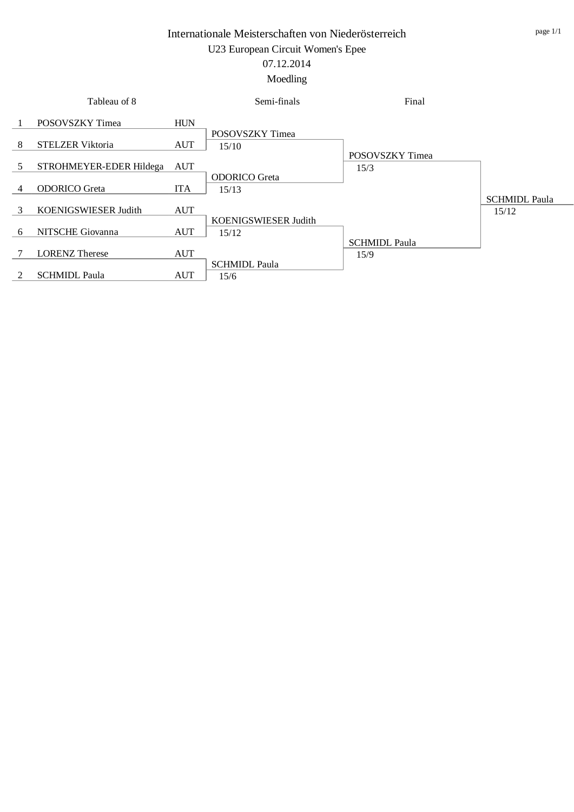# 07.12.2014

#### Moedling

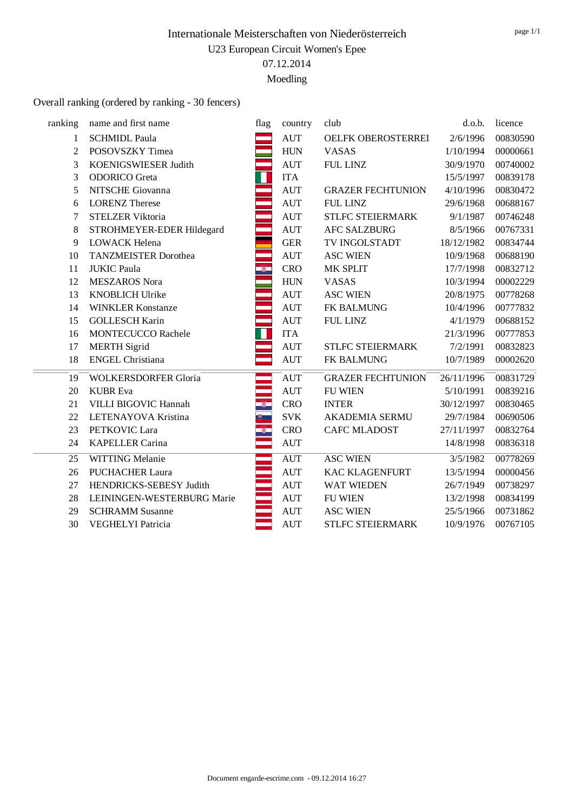### Overall ranking (ordered by ranking - 30 fencers)

| name and first name<br><b>SCHMIDL Paula</b><br>POSOVSZKY Timea<br>KOENIGSWIESER Judith<br><b>ODORICO</b> Greta<br>NITSCHE Giovanna<br><b>LORENZ</b> Therese<br><b>STELZER Viktoria</b><br>STROHMEYER-EDER Hildegard<br>LOWACK Helena<br><b>TANZMEISTER Dorothea</b><br><b>JUKIC Paula</b><br><b>MESZAROS Nora</b><br><b>KNOBLICH Ulrike</b> | flag<br>Н<br>÷<br>Ø.                        | country<br><b>AUT</b><br><b>HUN</b><br><b>AUT</b><br><b>ITA</b><br><b>AUT</b><br><b>AUT</b><br><b>AUT</b><br><b>AUT</b><br><b>GER</b><br><b>AUT</b><br><b>CRO</b> | club<br>OELFK OBEROSTERREI<br><b>VASAS</b><br><b>FUL LINZ</b><br><b>GRAZER FECHTUNION</b><br>FUL LINZ<br>STLFC STEIERMARK<br><b>AFC SALZBURG</b><br>TV INGOLSTADT<br><b>ASC WIEN</b> | d.o.b.<br>2/6/1996<br>1/10/1994<br>30/9/1970<br>15/5/1997<br>4/10/1996<br>29/6/1968<br>9/1/1987<br>8/5/1966<br>18/12/1982 | licence<br>00830590<br>00000661<br>00740002<br>00839178<br>00830472<br>00688167<br>00746248<br>00767331<br>00834744 |
|---------------------------------------------------------------------------------------------------------------------------------------------------------------------------------------------------------------------------------------------------------------------------------------------------------------------------------------------|---------------------------------------------|-------------------------------------------------------------------------------------------------------------------------------------------------------------------|--------------------------------------------------------------------------------------------------------------------------------------------------------------------------------------|---------------------------------------------------------------------------------------------------------------------------|---------------------------------------------------------------------------------------------------------------------|
|                                                                                                                                                                                                                                                                                                                                             |                                             |                                                                                                                                                                   |                                                                                                                                                                                      |                                                                                                                           |                                                                                                                     |
|                                                                                                                                                                                                                                                                                                                                             |                                             |                                                                                                                                                                   |                                                                                                                                                                                      |                                                                                                                           |                                                                                                                     |
|                                                                                                                                                                                                                                                                                                                                             |                                             |                                                                                                                                                                   |                                                                                                                                                                                      |                                                                                                                           |                                                                                                                     |
|                                                                                                                                                                                                                                                                                                                                             |                                             |                                                                                                                                                                   |                                                                                                                                                                                      |                                                                                                                           |                                                                                                                     |
|                                                                                                                                                                                                                                                                                                                                             |                                             |                                                                                                                                                                   |                                                                                                                                                                                      |                                                                                                                           |                                                                                                                     |
|                                                                                                                                                                                                                                                                                                                                             |                                             |                                                                                                                                                                   |                                                                                                                                                                                      |                                                                                                                           |                                                                                                                     |
|                                                                                                                                                                                                                                                                                                                                             |                                             |                                                                                                                                                                   |                                                                                                                                                                                      |                                                                                                                           |                                                                                                                     |
|                                                                                                                                                                                                                                                                                                                                             |                                             |                                                                                                                                                                   |                                                                                                                                                                                      |                                                                                                                           |                                                                                                                     |
|                                                                                                                                                                                                                                                                                                                                             |                                             |                                                                                                                                                                   |                                                                                                                                                                                      |                                                                                                                           |                                                                                                                     |
|                                                                                                                                                                                                                                                                                                                                             |                                             |                                                                                                                                                                   |                                                                                                                                                                                      |                                                                                                                           |                                                                                                                     |
|                                                                                                                                                                                                                                                                                                                                             |                                             |                                                                                                                                                                   |                                                                                                                                                                                      | 10/9/1968                                                                                                                 | 00688190                                                                                                            |
|                                                                                                                                                                                                                                                                                                                                             |                                             |                                                                                                                                                                   | MK SPLIT                                                                                                                                                                             | 17/7/1998                                                                                                                 | 00832712                                                                                                            |
|                                                                                                                                                                                                                                                                                                                                             |                                             | <b>HUN</b>                                                                                                                                                        | <b>VASAS</b>                                                                                                                                                                         | 10/3/1994                                                                                                                 | 00002229                                                                                                            |
|                                                                                                                                                                                                                                                                                                                                             |                                             | <b>AUT</b>                                                                                                                                                        | <b>ASC WIEN</b>                                                                                                                                                                      | 20/8/1975                                                                                                                 | 00778268                                                                                                            |
| <b>WINKLER Konstanze</b>                                                                                                                                                                                                                                                                                                                    |                                             | <b>AUT</b>                                                                                                                                                        | FK BALMUNG                                                                                                                                                                           | 10/4/1996                                                                                                                 | 00777832                                                                                                            |
| <b>GOLLESCH Karin</b>                                                                                                                                                                                                                                                                                                                       |                                             | <b>AUT</b>                                                                                                                                                        | <b>FUL LINZ</b>                                                                                                                                                                      | 4/1/1979                                                                                                                  | 00688152                                                                                                            |
| <b>MONTECUCCO Rachele</b>                                                                                                                                                                                                                                                                                                                   |                                             | <b>ITA</b>                                                                                                                                                        |                                                                                                                                                                                      | 21/3/1996                                                                                                                 | 00777853                                                                                                            |
| <b>MERTH</b> Sigrid                                                                                                                                                                                                                                                                                                                         |                                             | <b>AUT</b>                                                                                                                                                        | STLFC STEIERMARK                                                                                                                                                                     | 7/2/1991                                                                                                                  | 00832823                                                                                                            |
| <b>ENGEL Christiana</b>                                                                                                                                                                                                                                                                                                                     |                                             | <b>AUT</b>                                                                                                                                                        | FK BALMUNG                                                                                                                                                                           | 10/7/1989                                                                                                                 | 00002620                                                                                                            |
| <b>WOLKERSDORFER Gloria</b>                                                                                                                                                                                                                                                                                                                 |                                             | AUT                                                                                                                                                               | <b>GRAZER FECHTUNION</b>                                                                                                                                                             | 26/11/1996                                                                                                                | 00831729                                                                                                            |
| <b>KUBR</b> Eva                                                                                                                                                                                                                                                                                                                             |                                             | <b>AUT</b>                                                                                                                                                        | <b>FU WIEN</b>                                                                                                                                                                       | 5/10/1991                                                                                                                 | 00839216                                                                                                            |
| VILLI BIGOVIC Hannah                                                                                                                                                                                                                                                                                                                        | $\bullet$                                   | <b>CRO</b>                                                                                                                                                        | <b>INTER</b>                                                                                                                                                                         | 30/12/1997                                                                                                                | 00830465                                                                                                            |
| LETENAYOVA Kristina                                                                                                                                                                                                                                                                                                                         | $\theta$                                    | <b>SVK</b>                                                                                                                                                        | <b>AKADEMIA SERMU</b>                                                                                                                                                                | 29/7/1984                                                                                                                 | 00690506                                                                                                            |
| PETKOVIC Lara                                                                                                                                                                                                                                                                                                                               | -8                                          | <b>CRO</b>                                                                                                                                                        | <b>CAFC MLADOST</b>                                                                                                                                                                  | 27/11/1997                                                                                                                | 00832764                                                                                                            |
| <b>KAPELLER Carina</b>                                                                                                                                                                                                                                                                                                                      |                                             | <b>AUT</b>                                                                                                                                                        |                                                                                                                                                                                      | 14/8/1998                                                                                                                 | 00836318                                                                                                            |
| <b>WITTING Melanie</b>                                                                                                                                                                                                                                                                                                                      |                                             | <b>AUT</b>                                                                                                                                                        | <b>ASC WIEN</b>                                                                                                                                                                      | 3/5/1982                                                                                                                  | 00778269                                                                                                            |
| <b>PUCHACHER Laura</b>                                                                                                                                                                                                                                                                                                                      |                                             | <b>AUT</b>                                                                                                                                                        | <b>KAC KLAGENFURT</b>                                                                                                                                                                | 13/5/1994                                                                                                                 | 00000456                                                                                                            |
| HENDRICKS-SEBESY Judith                                                                                                                                                                                                                                                                                                                     |                                             | <b>AUT</b>                                                                                                                                                        | <b>WAT WIEDEN</b>                                                                                                                                                                    | 26/7/1949                                                                                                                 | 00738297                                                                                                            |
| LEININGEN-WESTERBURG Marie                                                                                                                                                                                                                                                                                                                  |                                             | <b>AUT</b>                                                                                                                                                        | <b>FU WIEN</b>                                                                                                                                                                       | 13/2/1998                                                                                                                 | 00834199                                                                                                            |
|                                                                                                                                                                                                                                                                                                                                             |                                             | <b>AUT</b>                                                                                                                                                        | <b>ASC WIEN</b>                                                                                                                                                                      | 25/5/1966                                                                                                                 | 00731862                                                                                                            |
|                                                                                                                                                                                                                                                                                                                                             |                                             | <b>AUT</b>                                                                                                                                                        | <b>STLFC STEIERMARK</b>                                                                                                                                                              | 10/9/1976                                                                                                                 | 00767105                                                                                                            |
|                                                                                                                                                                                                                                                                                                                                             | <b>SCHRAMM Susanne</b><br>VEGHELYI Patricia |                                                                                                                                                                   |                                                                                                                                                                                      |                                                                                                                           |                                                                                                                     |